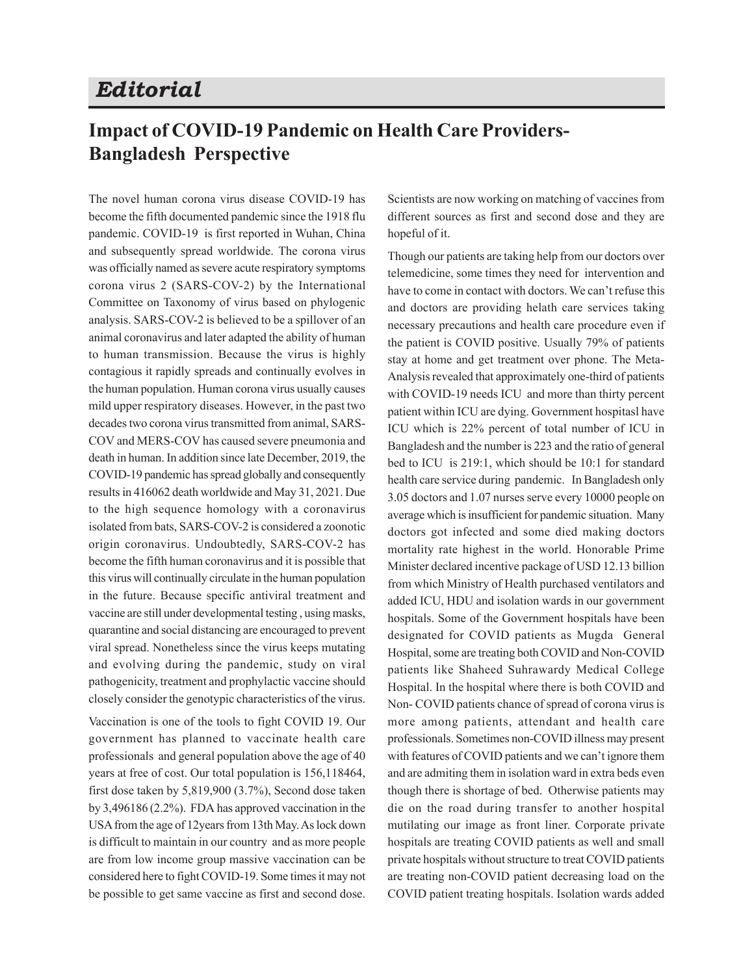## *Editorial*

## **Impact of COVID-19 Pandemic on Health Care Providers-Bangladesh Perspective**

The novel human corona virus disease COVID-19 has become the fifth documented pandemic since the 1918 flu pandemic. COVID-19 is first reported in Wuhan, China and subsequently spread worldwide. The corona virus was officially named as severe acute respiratory symptoms corona virus 2 (SARS-COV-2) by the International Committee on Taxonomy of virus based on phylogenic analysis. SARS-COV-2 is believed to be a spillover of an animal coronavirus and later adapted the ability of human to human transmission. Because the virus is highly contagious it rapidly spreads and continually evolves in the human population. Human corona virus usually causes mild upper respiratory diseases. However, in the past two decades two corona virus transmitted from animal, SARS-COV and MERS-COV has caused severe pneumonia and death in human. In addition since late December, 2019, the COVID-19 pandemic has spread globally and consequently results in 416062 death worldwide and May 31, 2021. Due to the high sequence homology with a coronavirus isolated from bats, SARS-COV-2 is considered a zoonotic origin coronavirus. Undoubtedly, SARS-COV-2 has become the fifth human coronavirus and it is possible that this virus will continually circulate in the human population in the future. Because specific antiviral treatment and vaccine are still under developmental testing , using masks, quarantine and social distancing are encouraged to prevent viral spread. Nonetheless since the virus keeps mutating and evolving during the pandemic, study on viral pathogenicity, treatment and prophylactic vaccine should closely consider the genotypic characteristics of the virus.

Vaccination is one of the tools to fight COVID 19. Our government has planned to vaccinate health care professionals and general population above the age of 40 years at free of cost. Our total population is 156,118464, first dose taken by 5,819,900 (3.7%), Second dose taken by 3,496186 (2.2%). FDA has approved vaccination in the USA from the age of 12years from 13th May. As lock down is difficult to maintain in our country and as more people are from low income group massive vaccination can be considered here to fight COVID-19. Some times it may not be possible to get same vaccine as first and second dose.

Scientists are now working on matching of vaccines from different sources as first and second dose and they are hopeful of it.

Though our patients are taking help from our doctors over telemedicine, some times they need for intervention and have to come in contact with doctors. We can't refuse this and doctors are providing helath care services taking necessary precautions and health care procedure even if the patient is COVID positive. Usually 79% of patients stay at home and get treatment over phone. The Meta-Analysis revealed that approximately one-third of patients with COVID-19 needs ICU and more than thirty percent patient within ICU are dying. Government hospitasl have ICU which is 22% percent of total number of ICU in Bangladesh and the number is 223 and the ratio of general bed to ICU is 219:1, which should be 10:1 for standard health care service during pandemic. In Bangladesh only 3.05 doctors and 1.07 nurses serve every 10000 people on average which is insufficient for pandemic situation. Many doctors got infected and some died making doctors mortality rate highest in the world. Honorable Prime Minister declared incentive package of USD 12.13 billion from which Ministry of Health purchased ventilators and added ICU, HDU and isolation wards in our government hospitals. Some of the Government hospitals have been designated for COVID patients as Mugda General Hospital, some are treating both COVID and Non-COVID patients like Shaheed Suhrawardy Medical College Hospital. In the hospital where there is both COVID and Non- COVID patients chance of spread of corona virus is more among patients, attendant and health care professionals. Sometimes non-COVID illness may present with features of COVID patients and we can't ignore them and are admiting them in isolation ward in extra beds even though there is shortage of bed. Otherwise patients may die on the road during transfer to another hospital mutilating our image as front liner. Corporate private hospitals are treating COVID patients as well and small private hospitals without structure to treat COVID patients are treating non-COVID patient decreasing load on the COVID patient treating hospitals. Isolation wards added